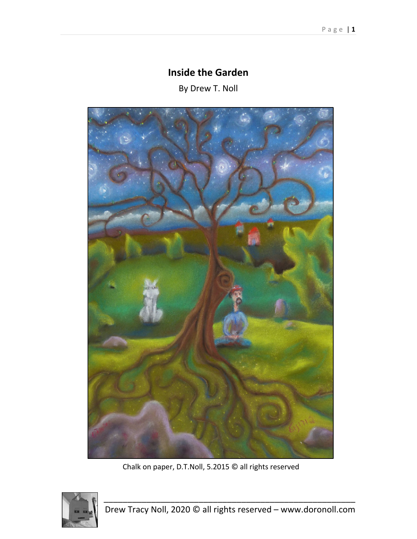## **Inside the Garden**

By Drew T. Noll



Chalk on paper, D.T.Noll, 5.2015 © all rights reserved

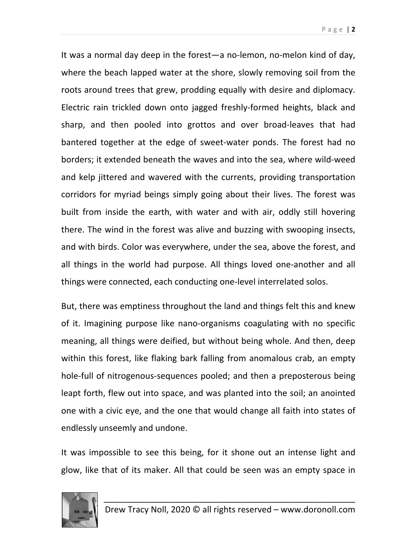It was a normal day deep in the forest—a no‐lemon, no‐melon kind of day, where the beach lapped water at the shore, slowly removing soil from the roots around trees that grew, prodding equally with desire and diplomacy. Electric rain trickled down onto jagged freshly‐formed heights, black and sharp, and then pooled into grottos and over broad‐leaves that had bantered together at the edge of sweet‐water ponds. The forest had no borders; it extended beneath the waves and into the sea, where wild‐weed and kelp jittered and wavered with the currents, providing transportation corridors for myriad beings simply going about their lives. The forest was built from inside the earth, with water and with air, oddly still hovering there. The wind in the forest was alive and buzzing with swooping insects, and with birds. Color was everywhere, under the sea, above the forest, and all things in the world had purpose. All things loved one‐another and all things were connected, each conducting one‐level interrelated solos.

But, there was emptiness throughout the land and things felt this and knew of it. Imagining purpose like nano‐organisms coagulating with no specific meaning, all things were deified, but without being whole. And then, deep within this forest, like flaking bark falling from anomalous crab, an empty hole-full of nitrogenous-sequences pooled; and then a preposterous being leapt forth, flew out into space, and was planted into the soil; an anointed one with a civic eye, and the one that would change all faith into states of endlessly unseemly and undone.

It was impossible to see this being, for it shone out an intense light and glow, like that of its maker. All that could be seen was an empty space in

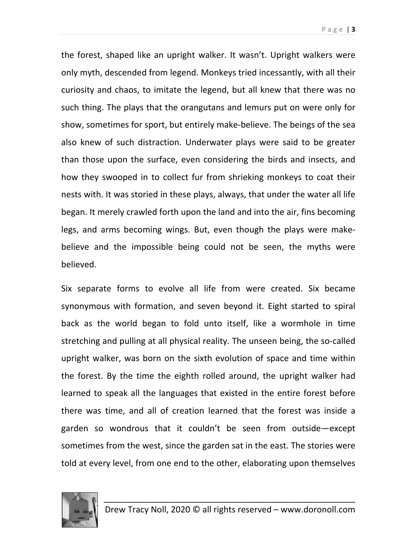Page | **3**

the forest, shaped like an upright walker. It wasn't. Upright walkers were only myth, descended from legend. Monkeys tried incessantly, with all their curiosity and chaos, to imitate the legend, but all knew that there was no such thing. The plays that the orangutans and lemurs put on were only for show, sometimes for sport, but entirely make‐believe. The beings of the sea also knew of such distraction. Underwater plays were said to be greater than those upon the surface, even considering the birds and insects, and how they swooped in to collect fur from shrieking monkeys to coat their nests with. It was storied in these plays, always, that under the water all life began. It merely crawled forth upon the land and into the air, fins becoming legs, and arms becoming wings. But, even though the plays were make‐ believe and the impossible being could not be seen, the myths were believed.

Six separate forms to evolve all life from were created. Six became synonymous with formation, and seven beyond it. Eight started to spiral back as the world began to fold unto itself, like a wormhole in time stretching and pulling at all physical reality. The unseen being, the so‐called upright walker, was born on the sixth evolution of space and time within the forest. By the time the eighth rolled around, the upright walker had learned to speak all the languages that existed in the entire forest before there was time, and all of creation learned that the forest was inside a garden so wondrous that it couldn't be seen from outside—except sometimes from the west, since the garden sat in the east. The stories were told at every level, from one end to the other, elaborating upon themselves

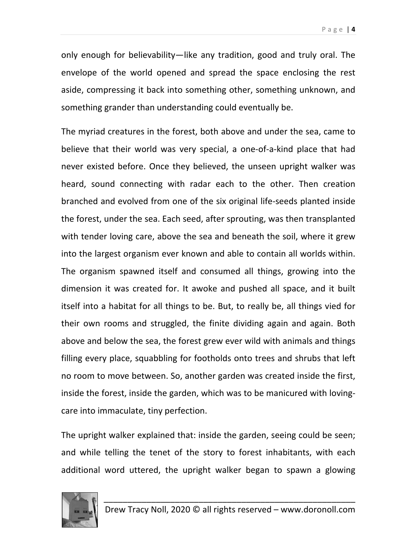only enough for believability—like any tradition, good and truly oral. The envelope of the world opened and spread the space enclosing the rest aside, compressing it back into something other, something unknown, and something grander than understanding could eventually be.

The myriad creatures in the forest, both above and under the sea, came to believe that their world was very special, a one‐of‐a‐kind place that had never existed before. Once they believed, the unseen upright walker was heard, sound connecting with radar each to the other. Then creation branched and evolved from one of the six original life‐seeds planted inside the forest, under the sea. Each seed, after sprouting, was then transplanted with tender loving care, above the sea and beneath the soil, where it grew into the largest organism ever known and able to contain all worlds within. The organism spawned itself and consumed all things, growing into the dimension it was created for. It awoke and pushed all space, and it built itself into a habitat for all things to be. But, to really be, all things vied for their own rooms and struggled, the finite dividing again and again. Both above and below the sea, the forest grew ever wild with animals and things filling every place, squabbling for footholds onto trees and shrubs that left no room to move between. So, another garden was created inside the first, inside the forest, inside the garden, which was to be manicured with loving‐ care into immaculate, tiny perfection.

The upright walker explained that: inside the garden, seeing could be seen; and while telling the tenet of the story to forest inhabitants, with each additional word uttered, the upright walker began to spawn a glowing

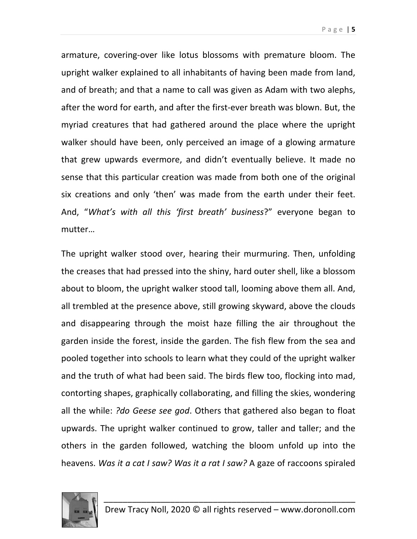armature, covering‐over like lotus blossoms with premature bloom. The upright walker explained to all inhabitants of having been made from land, and of breath; and that a name to call was given as Adam with two alephs, after the word for earth, and after the first‐ever breath was blown. But, the myriad creatures that had gathered around the place where the upright walker should have been, only perceived an image of a glowing armature that grew upwards evermore, and didn't eventually believe. It made no sense that this particular creation was made from both one of the original six creations and only 'then' was made from the earth under their feet. And, "*What's with all this 'first breath' business*?" everyone began to mutter…

The upright walker stood over, hearing their murmuring. Then, unfolding the creases that had pressed into the shiny, hard outer shell, like a blossom about to bloom, the upright walker stood tall, looming above them all. And, all trembled at the presence above, still growing skyward, above the clouds and disappearing through the moist haze filling the air throughout the garden inside the forest, inside the garden. The fish flew from the sea and pooled together into schools to learn what they could of the upright walker and the truth of what had been said. The birds flew too, flocking into mad, contorting shapes, graphically collaborating, and filling the skies, wondering all the while: *?do Geese see god*. Others that gathered also began to float upwards. The upright walker continued to grow, taller and taller; and the others in the garden followed, watching the bloom unfold up into the heavens. *Was it a cat I saw? Was it a rat I saw?* A gaze of raccoons spiraled

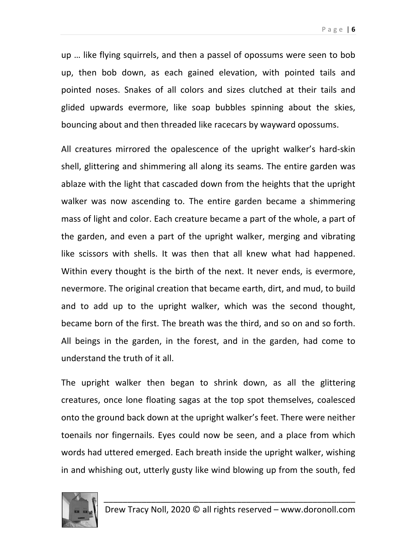up … like flying squirrels, and then a passel of opossums were seen to bob up, then bob down, as each gained elevation, with pointed tails and pointed noses. Snakes of all colors and sizes clutched at their tails and glided upwards evermore, like soap bubbles spinning about the skies, bouncing about and then threaded like racecars by wayward opossums.

All creatures mirrored the opalescence of the upright walker's hard‐skin shell, glittering and shimmering all along its seams. The entire garden was ablaze with the light that cascaded down from the heights that the upright walker was now ascending to. The entire garden became a shimmering mass of light and color. Each creature became a part of the whole, a part of the garden, and even a part of the upright walker, merging and vibrating like scissors with shells. It was then that all knew what had happened. Within every thought is the birth of the next. It never ends, is evermore, nevermore. The original creation that became earth, dirt, and mud, to build and to add up to the upright walker, which was the second thought, became born of the first. The breath was the third, and so on and so forth. All beings in the garden, in the forest, and in the garden, had come to understand the truth of it all.

The upright walker then began to shrink down, as all the glittering creatures, once lone floating sagas at the top spot themselves, coalesced onto the ground back down at the upright walker's feet. There were neither toenails nor fingernails. Eyes could now be seen, and a place from which words had uttered emerged. Each breath inside the upright walker, wishing in and whishing out, utterly gusty like wind blowing up from the south, fed